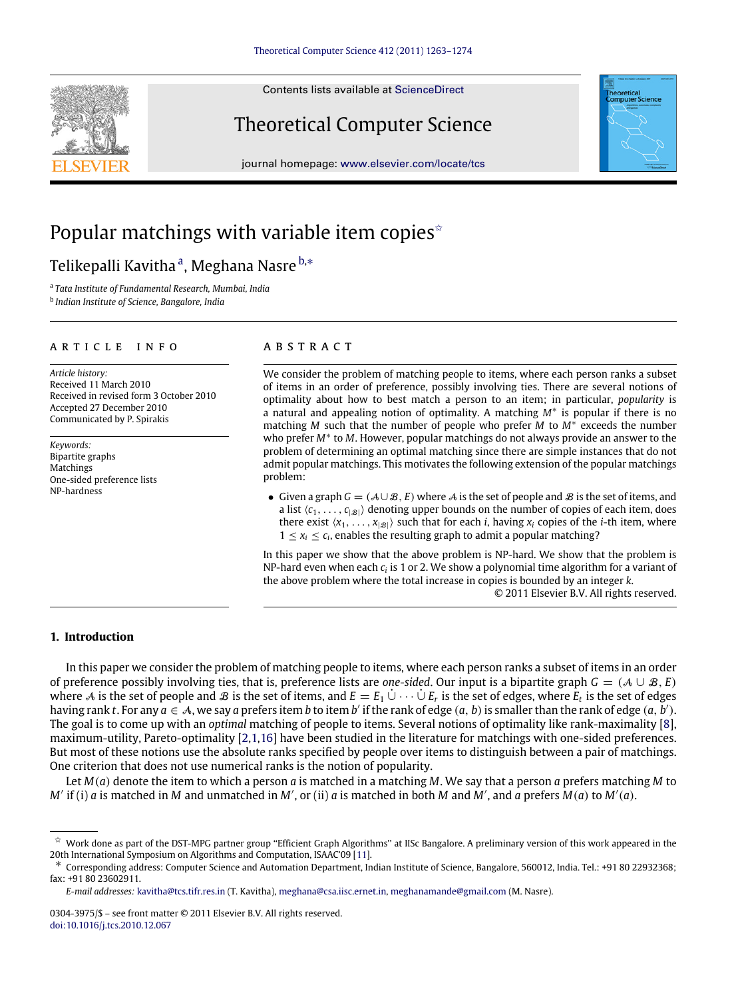Contents lists available at [ScienceDirect](http://www.elsevier.com/locate/tcs)

# Theoretical Computer Science

journal homepage: [www.elsevier.com/locate/tcs](http://www.elsevier.com/locate/tcs)

# Popular matchings with variable item copies<sup> $\dot{\mathbf{r}}$ </sup>

# Telikep[a](#page-0-1)lli Kavitha <sup>a</sup>, Meghana Nasre <sup>[b,](#page-0-2)</sup>\*

<span id="page-0-1"></span>a *Tata Institute of Fundamental Research, Mumbai, India*

<span id="page-0-2"></span>b *Indian Institute of Science, Bangalore, India*

# a r t i c l e i n f o

*Article history:* Received 11 March 2010 Received in revised form 3 October 2010 Accepted 27 December 2010 Communicated by P. Spirakis

*Keywords:* Bipartite graphs Matchings One-sided preference lists NP-hardness

# a b s t r a c t

We consider the problem of matching people to items, where each person ranks a subset of items in an order of preference, possibly involving ties. There are several notions of optimality about how to best match a person to an item; in particular, *popularity* is a natural and appealing notion of optimality. A matching *M*<sup>∗</sup> is popular if there is no matching *M* such that the number of people who prefer *M* to *M*<sup>∗</sup> exceeds the number who prefer *M*<sup>∗</sup> to *M*. However, popular matchings do not always provide an answer to the problem of determining an optimal matching since there are simple instances that do not admit popular matchings. This motivates the following extension of the popular matchings problem:

• Given a graph  $G = (A \cup B, E)$  where A is the set of people and B is the set of items, and a list  $\langle c_1, \ldots, c_{|\mathcal{B}|} \rangle$  denoting upper bounds on the number of copies of each item, does there exist  $\langle x_1, \ldots, x_{|B|} \rangle$  such that for each *i*, having  $x_i$  copies of the *i*-th item, where  $1 \leq x_i \leq c_i$ , enables the resulting graph to admit a popular matching?

In this paper we show that the above problem is NP-hard. We show that the problem is NP-hard even when each *c<sup>i</sup>* is 1 or 2. We show a polynomial time algorithm for a variant of the above problem where the total increase in copies is bounded by an integer *k*. © 2011 Elsevier B.V. All rights reserved.

# **1. Introduction**

In this paper we consider the problem of matching people to items, where each person ranks a subset of items in an order of preference possibly involving ties, that is, preference lists are *one-sided*. Our input is a bipartite graph  $G = (A \cup B, E)$ where A is the set of people and B is the set of items, and  $E=E_1\,\dot\cup\,\cdots\,\dot\cup\,E_r$  is the set of edges, where  $E_t$  is the set of edges having rank t. For any  $a \in A$ , we say a prefers item b to item b' if the rank of edge  $(a, b)$  is smaller than the rank of edge  $(a, b')$ . The goal is to come up with an *optimal* matching of people to items. Several notions of optimality like rank-maximality [\[8\]](#page-11-0), maximum-utility, Pareto-optimality [\[2,](#page-11-1)[1,](#page-11-2)[16\]](#page-11-3) have been studied in the literature for matchings with one-sided preferences. But most of these notions use the absolute ranks specified by people over items to distinguish between a pair of matchings. One criterion that does not use numerical ranks is the notion of popularity.

Let *M*(*a*) denote the item to which a person *a* is matched in a matching *M*. We say that a person *a* prefers matching *M* to  $M'$  if (i) *a* is matched in *M* and unmatched in *M'*, or (ii) *a* is matched in both *M* and *M'*, and *a* prefers  $M(a)$  to  $M'(a)$ .





<span id="page-0-0"></span> $\stackrel{\star}{\sim}$  Work done as part of the DST-MPG partner group "Efficient Graph Algorithms" at IISc Bangalore. A preliminary version of this work appeared in the 20th International Symposium on Algorithms and Computation, ISAAC'09 [\[11\]](#page-11-4).

<span id="page-0-3"></span><sup>∗</sup> Corresponding address: Computer Science and Automation Department, Indian Institute of Science, Bangalore, 560012, India. Tel.: +91 80 22932368; fax: +91 80 23602911.

*E-mail addresses:* [kavitha@tcs.tifr.res.in](mailto:kavitha@tcs.tifr.res.in) (T. Kavitha), [meghana@csa.iisc.ernet.in,](mailto:meghana@csa.iisc.ernet.in) [meghanamande@gmail.com](mailto:meghanamande@gmail.com) (M. Nasre).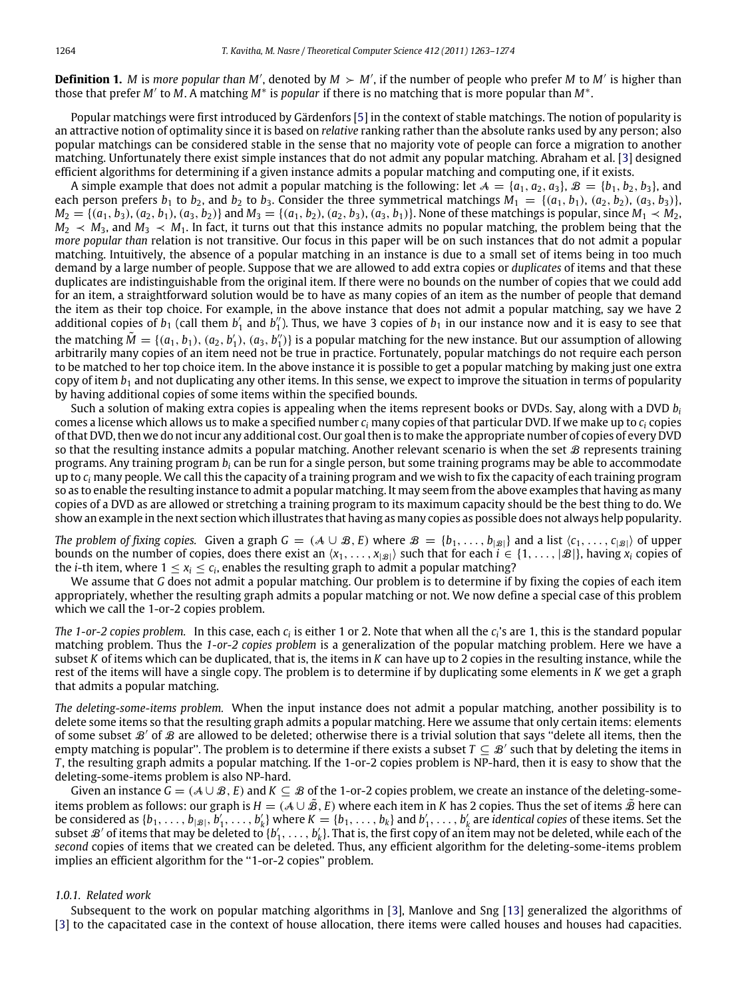**Definition 1.** *M* is *more popular than M'*, denoted by  $M > M'$ , if the number of people who prefer *M* to *M'* is higher than those that prefer *M*′ to *M*. A matching *M*<sup>∗</sup> is *popular* if there is no matching that is more popular than *M*<sup>∗</sup> .

Popular matchings were first introduced by Gärdenfors [\[5\]](#page-11-5) in the context of stable matchings. The notion of popularity is an attractive notion of optimality since it is based on *relative* ranking rather than the absolute ranks used by any person; also popular matchings can be considered stable in the sense that no majority vote of people can force a migration to another matching. Unfortunately there exist simple instances that do not admit any popular matching. Abraham et al. [\[3\]](#page-11-6) designed efficient algorithms for determining if a given instance admits a popular matching and computing one, if it exists.

A simple example that does not admit a popular matching is the following: let  $A = \{a_1, a_2, a_3\}, B = \{b_1, b_2, b_3\}$ , and each person prefers  $b_1$  to  $b_2$ , and  $b_2$  to  $b_3$ . Consider the three symmetrical matchings  $M_1 = \{(a_1, b_1), (a_2, b_2), (a_3, b_3)\}$  $M_2 = \{(a_1, b_3), (a_2, b_1), (a_3, b_2)\}\$ and  $M_3 = \{(a_1, b_2), (a_2, b_3), (a_3, b_1)\}\$ . None of these matchings is popular, since  $M_1 \prec M_2$ ,  $M_2 \prec M_3$ , and  $M_3 \prec M_1$ . In fact, it turns out that this instance admits no popular matching, the problem being that the *more popular than* relation is not transitive. Our focus in this paper will be on such instances that do not admit a popular matching. Intuitively, the absence of a popular matching in an instance is due to a small set of items being in too much demand by a large number of people. Suppose that we are allowed to add extra copies or *duplicates* of items and that these duplicates are indistinguishable from the original item. If there were no bounds on the number of copies that we could add for an item, a straightforward solution would be to have as many copies of an item as the number of people that demand the item as their top choice. For example, in the above instance that does not admit a popular matching, say we have 2 additional copies of  $b_1$  (call them  $b'_1$  and  $b''_1$ ). Thus, we have 3 copies of  $b_1$  in our instance now and it is easy to see that the matching  $\tilde{M} = \{(a_1, b_1), (a_2, b'_1), (a_3, b''_1)\}$  is a popular matching for the new instance. But our assumption of allowing arbitrarily many copies of an item need not be true in practice. Fortunately, popular matchings do not require each person to be matched to her top choice item. In the above instance it is possible to get a popular matching by making just one extra copy of item  $b_1$  and not duplicating any other items. In this sense, we expect to improve the situation in terms of popularity by having additional copies of some items within the specified bounds.

Such a solution of making extra copies is appealing when the items represent books or DVDs. Say, along with a DVD *b<sup>i</sup>* comes a license which allows us to make a specified number *c<sup>i</sup>* many copies of that particular DVD. If we make up to *c<sup>i</sup>* copies of that DVD, then we do not incur any additional cost. Our goal then is to make the appropriate number of copies of every DVD so that the resulting instance admits a popular matching. Another relevant scenario is when the set  $\mathcal B$  represents training programs. Any training program *b<sup>i</sup>* can be run for a single person, but some training programs may be able to accommodate up to *c<sup>i</sup>* many people. We call this the capacity of a training program and we wish to fix the capacity of each training program so as to enable the resulting instance to admit a popular matching. It may seem from the above examples that having as many copies of a DVD as are allowed or stretching a training program to its maximum capacity should be the best thing to do. We show an example in the next section which illustrates that having as many copies as possible does not always help popularity.

*The problem of fixing copies.* Given a graph  $G = (A \cup B, E)$  where  $B = \{b_1, \ldots, b_{|B|}\}$  and a list  $\langle c_1, \ldots, c_{|B|}\rangle$  of upper bounds on the number of copies, does there exist an  $\langle x_1, \ldots, x_{|\mathcal{B}|} \rangle$  such that for each  $i \in \{1, \ldots, |\mathcal{B}|\}$ , having  $x_i$  copies of the *i*-th item, where  $1 \le x_i \le c_i$ , enables the resulting graph to admit a popular matching?

We assume that *G* does not admit a popular matching. Our problem is to determine if by fixing the copies of each item appropriately, whether the resulting graph admits a popular matching or not. We now define a special case of this problem which we call the 1-or-2 copies problem.

*The 1-or-2 copies problem.* In this case, each  $c_i$  is either 1 or 2. Note that when all the  $c_i$ 's are 1, this is the standard popular matching problem. Thus the *1-or-2 copies problem* is a generalization of the popular matching problem. Here we have a subset *K* of items which can be duplicated, that is, the items in *K* can have up to 2 copies in the resulting instance, while the rest of the items will have a single copy. The problem is to determine if by duplicating some elements in *K* we get a graph that admits a popular matching.

*The deleting-some-items problem.* When the input instance does not admit a popular matching, another possibility is to delete some items so that the resulting graph admits a popular matching. Here we assume that only certain items: elements of some subset  $\mathcal{B}'$  of  $\mathcal{B}$  are allowed to be deleted; otherwise there is a trivial solution that says "delete all items, then the empty matching is popular". The problem is to determine if there exists a subset  $T\subseteq\mathcal{B}'$  such that by deleting the items in *T* , the resulting graph admits a popular matching. If the 1-or-2 copies problem is NP-hard, then it is easy to show that the deleting-some-items problem is also NP-hard.

Given an instance  $G = (A \cup B, E)$  and  $K \subseteq B$  of the 1-or-2 copies problem, we create an instance of the deleting-someitems problem as follows: our graph is  $H = (A \cup \tilde{B}, E)$  where each item in *K* has 2 copies. Thus the set of items  $\tilde{B}$  here can be considered as  $\{b_1,\ldots,b_{|\mathcal{B}|},b'_1,\ldots,b'_k\}$  where  $K=\{b_1,\ldots,b_k\}$  and  $b'_1,\ldots,b'_k$  are identical copies of these items. Set the subset  $\mathcal B'$  of items that may be deleted to  $\{b'_1,\ldots,b'_k\}$ . That is, the first copy of an item may not be deleted, while each of the *second* copies of items that we created can be deleted. Thus, any efficient algorithm for the deleting-some-items problem implies an efficient algorithm for the "1-or-2 copies" problem.

#### *1.0.1. Related work*

Subsequent to the work on popular matching algorithms in [\[3\]](#page-11-6), Manlove and Sng [\[13\]](#page-11-7) generalized the algorithms of [\[3\]](#page-11-6) to the capacitated case in the context of house allocation, there items were called houses and houses had capacities.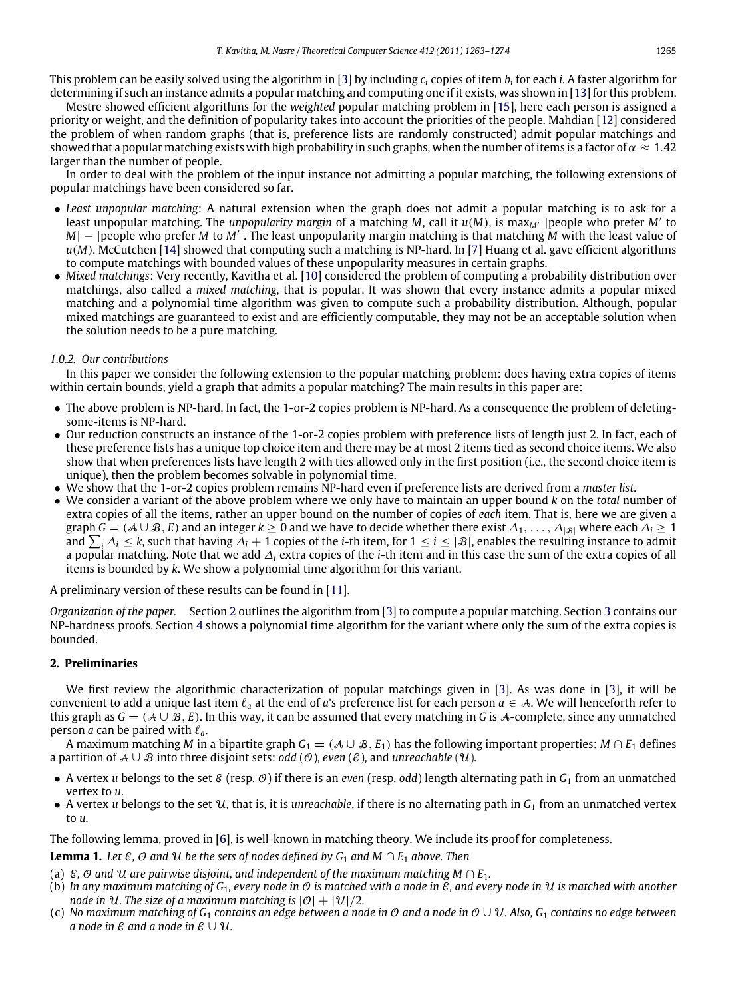This problem can be easily solved using the algorithm in [\[3\]](#page-11-6) by including *c<sup>i</sup>* copies of item *b<sup>i</sup>* for each *i*. A faster algorithm for determining if such an instance admits a popular matching and computing one if it exists, was shown in [\[13\]](#page-11-7) for this problem.

Mestre showed efficient algorithms for the *weighted* popular matching problem in [\[15\]](#page-11-8), here each person is assigned a priority or weight, and the definition of popularity takes into account the priorities of the people. Mahdian [\[12\]](#page-11-9) considered the problem of when random graphs (that is, preference lists are randomly constructed) admit popular matchings and showed that a popular matching exists with high probability in such graphs, when the number of items is a factor of  $\alpha \approx 1.42$ larger than the number of people.

In order to deal with the problem of the input instance not admitting a popular matching, the following extensions of popular matchings have been considered so far.

- *Least unpopular matching*: A natural extension when the graph does not admit a popular matching is to ask for a least unpopular matching. The *unpopularity margin* of a matching *M*, call it *u*(*M*), is max*M*′ |people who prefer *M*′ to *M*| − |people who prefer *M* to *M'*|. The least unpopularity margin matching is that matching *M* with the least value of *u*(*M*). McCutchen [\[14\]](#page-11-10) showed that computing such a matching is NP-hard. In [\[7\]](#page-11-11) Huang et al. gave efficient algorithms to compute matchings with bounded values of these unpopularity measures in certain graphs.
- *Mixed matchings*: Very recently, Kavitha et al. [\[10\]](#page-11-12) considered the problem of computing a probability distribution over matchings, also called a *mixed matching*, that is popular. It was shown that every instance admits a popular mixed matching and a polynomial time algorithm was given to compute such a probability distribution. Although, popular mixed matchings are guaranteed to exist and are efficiently computable, they may not be an acceptable solution when the solution needs to be a pure matching.

# *1.0.2. Our contributions*

In this paper we consider the following extension to the popular matching problem: does having extra copies of items within certain bounds, yield a graph that admits a popular matching? The main results in this paper are:

- The above problem is NP-hard. In fact, the 1-or-2 copies problem is NP-hard. As a consequence the problem of deletingsome-items is NP-hard.
- Our reduction constructs an instance of the 1-or-2 copies problem with preference lists of length just 2. In fact, each of these preference lists has a unique top choice item and there may be at most 2 items tied as second choice items. We also show that when preferences lists have length 2 with ties allowed only in the first position (i.e., the second choice item is unique), then the problem becomes solvable in polynomial time.
- We show that the 1-or-2 copies problem remains NP-hard even if preference lists are derived from a *master list*.
- We consider a variant of the above problem where we only have to maintain an upper bound *k* on the *total* number of extra copies of all the items, rather an upper bound on the number of copies of *each* item. That is, here we are given a graph *G* = ( $A \cup B$ , *E*) and an integer  $k \ge 0$  and we have to decide whether there exist  $\Delta_1, \ldots, \Delta_{|B|}$  where each  $\Delta_i \ge 1$ and  $\sum_i \Delta_i \leq k$ , such that having  $\Delta_i + 1$  copies of the *i*-th item, for  $1 \leq i \leq |\mathcal{B}|$ , enables the resulting instance to admit a popular matching. Note that we add ∆*<sup>i</sup>* extra copies of the *i*-th item and in this case the sum of the extra copies of all items is bounded by *k*. We show a polynomial time algorithm for this variant.

A preliminary version of these results can be found in [\[11\]](#page-11-13).

*Organization of the paper.* Section [2](#page-2-0) outlines the algorithm from [\[3\]](#page-11-6) to compute a popular matching. Section [3](#page-4-0) contains our NP-hardness proofs. Section [4](#page-9-0) shows a polynomial time algorithm for the variant where only the sum of the extra copies is bounded.

# <span id="page-2-0"></span>**2. Preliminaries**

We first review the algorithmic characterization of popular matchings given in [\[3\]](#page-11-6). As was done in [\[3\]](#page-11-6), it will be convenient to add a unique last item  $\ell_a$  at the end of *a*'s preference list for each person  $a \in A$ . We will henceforth refer to this graph as  $G = (A \cup B, E)$ . In this way, it can be assumed that every matching in *G* is A-complete, since any unmatched person *a* can be paired with  $\ell_a$ .

A maximum matching *M* in a bipartite graph  $G_1 = (A \cup B, E_1)$  has the following important properties:  $M \cap E_1$  defines a partition of A ∪ B into three disjoint sets: *odd* (O), *even* (E), and *unreachable* (U).

- A vertex *u* belongs to the set  $\mathcal{E}$  (resp.  $\mathcal{O}$ ) if there is an *even* (resp. *odd*) length alternating path in  $G_1$  from an unmatched vertex to *u*.
- A vertex *u* belongs to the set  $U$ , that is, it is *unreachable*, if there is no alternating path in  $G_1$  from an unmatched vertex to *u*.

The following lemma, proved in [\[6\]](#page-11-14), is well-known in matching theory. We include its proof for completeness.

<span id="page-2-1"></span>**Lemma 1.** *Let*  $\varepsilon$ ,  $\emptyset$  *and*  $\mathcal{U}$  *be the sets of nodes defined by*  $G_1$  *and*  $M \cap E_1$  *above. Then* 

- (a)  $\mathcal{E}, \mathcal{O}$  and  $\mathcal{U}$  are pairwise disjoint, and independent of the maximum matching M  $\cap$  E<sub>1</sub>.
- (b) *In any maximum matching of G*1*, every node in* O *is matched with a node in* E*, and every node in* U *is matched with another node in* U. The size of a maximum matching is  $|0| + |U|/2$ .
- (c) *No maximum matching of G*<sup>1</sup> *contains an edge between a node in* O *and a node in* O ∪ U*. Also, G*<sup>1</sup> *contains no edge between a* node in  $\varepsilon$  and a node in  $\varepsilon \cup \mathcal{U}$ .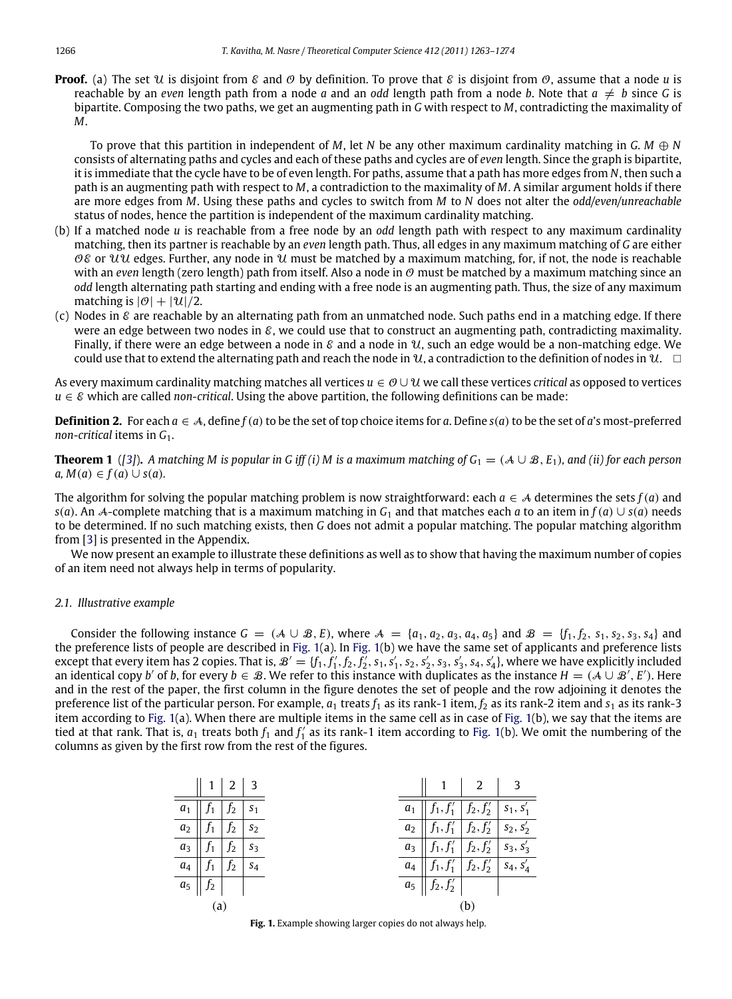**Proof.** (a) The set U is disjoint from  $\mathcal{E}$  and  $\mathcal{O}$  by definition. To prove that  $\mathcal{E}$  is disjoint from  $\mathcal{O}$ , assume that a node *u* is reachable by an *even* length path from a node *a* and an *odd* length path from a node *b*. Note that  $a \neq b$  since *G* is bipartite. Composing the two paths, we get an augmenting path in *G* with respect to *M*, contradicting the maximality of *M*.

To prove that this partition in independent of *M*, let *N* be any other maximum cardinality matching in *G*. *M* ⊕ *N* consists of alternating paths and cycles and each of these paths and cycles are of *even* length. Since the graph is bipartite, it is immediate that the cycle have to be of even length. For paths, assume that a path has more edges from *N*, then such a path is an augmenting path with respect to *M*, a contradiction to the maximality of *M*. A similar argument holds if there are more edges from *M*. Using these paths and cycles to switch from *M* to *N* does not alter the *odd/even/unreachable* status of nodes, hence the partition is independent of the maximum cardinality matching.

- (b) If a matched node *u* is reachable from a free node by an *odd* length path with respect to any maximum cardinality matching, then its partner is reachable by an *even* length path. Thus, all edges in any maximum matching of *G* are either OE or UU edges. Further, any node in U must be matched by a maximum matching, for, if not, the node is reachable with an *even* length (zero length) path from itself. Also a node in  $\Theta$  must be matched by a maximum matching since an *odd* length alternating path starting and ending with a free node is an augmenting path. Thus, the size of any maximum matching is  $|\mathcal{O}| + |\mathcal{U}|/2$ .
- (c) Nodes in  $\&$  are reachable by an alternating path from an unmatched node. Such paths end in a matching edge. If there were an edge between two nodes in  $\mathcal{E}$ , we could use that to construct an augmenting path, contradicting maximality. Finally, if there were an edge between a node in  $\epsilon$  and a node in  $\mathcal{U}$ , such an edge would be a non-matching edge. We could use that to extend the alternating path and reach the node in  $\mathcal{U}$ , a contradiction to the definition of nodes in  $\mathcal{U}$ .

As every maximum cardinality matching matches all vertices *u* ∈ O ∪U we call these vertices *critical* as opposed to vertices  $u \in \mathcal{E}$  which are called *non-critical*. Using the above partition, the following definitions can be made:

**Definition 2.** For each  $a \in A$ , define  $f(a)$  to be the set of top choice items for *a*. Define  $s(a)$  to be the set of *a*'s most-preferred *non-critical* items in *G*1.

<span id="page-3-1"></span>**Theorem 1** ([\[3\]](#page-11-6)). A matching M is popular in G iff (i) M is a maximum matching of  $G_1 = (A \cup B, E_1)$ , and (ii) for each person  $a, M(a) \in f(a) \cup s(a)$ .

The algorithm for solving the popular matching problem is now straightforward: each  $a \in A$  determines the sets  $f(a)$  and *s*(*a*). An A-complete matching that is a maximum matching in *G*<sup>1</sup> and that matches each *a* to an item in *f*(*a*) ∪ *s*(*a*) needs to be determined. If no such matching exists, then *G* does not admit a popular matching. The popular matching algorithm from [\[3\]](#page-11-6) is presented in the Appendix.

We now present an example to illustrate these definitions as well as to show that having the maximum number of copies of an item need not always help in terms of popularity.

# *2.1. Illustrative example*

Consider the following instance  $G = (A \cup B, E)$ , where  $A = \{a_1, a_2, a_3, a_4, a_5\}$  and  $B = \{f_1, f_2, s_1, s_2, s_3, s_4\}$  and the preference lists of people are described in [Fig. 1\(](#page-3-0)a). In [Fig. 1\(](#page-3-0)b) we have the same set of applicants and preference lists except that every item has 2 copies. That is,  $\mathcal{B}' = \{f_1, f'_1, f_2, f'_2, s_1, s'_1, s_2, s'_2, s_3, s'_3, s_4, s'_4\}$ , where we have explicitly included an identical copy *b'* of *b*, for every  $b \in \mathcal{B}$ . We refer to this instance with duplicates as the instance  $H = (\mathcal{A} \cup \mathcal{B}', E')$ . Here and in the rest of the paper, the first column in the figure denotes the set of people and the row adjoining it denotes the preference list of the particular person. For example,  $a_1$  treats  $f_1$  as its rank-1 item,  $f_2$  as its rank-2 item and  $s_1$  as its rank-3 item according to [Fig. 1\(](#page-3-0)a). When there are multiple items in the same cell as in case of [Fig. 1\(](#page-3-0)b), we say that the items are tied at that rank. That is,  $a_1$  treats both  $f_1$  and  $f'_1$  as its rank-1 item according to [Fig. 1\(](#page-3-0)b). We omit the numbering of the columns as given by the first row from the rest of the figures.

<span id="page-3-0"></span>

|                | 1              | $\vert 2 \vert$ | 3              |       |                                                                   | 2                                   |             |
|----------------|----------------|-----------------|----------------|-------|-------------------------------------------------------------------|-------------------------------------|-------------|
| $a_1$          | J1             | $f_2$           | S <sub>1</sub> |       | $a_1 \parallel f_1, f'_1 \parallel f_2, f'_2 \parallel s_1, s'_1$ |                                     |             |
| a <sub>2</sub> | J1             | f <sub>2</sub>  | S <sub>2</sub> | $a_2$ |                                                                   | $f_1, f'_1   f_2, f'_2   s_2, s'_2$ |             |
| $a_3$          | J1             | f <sub>2</sub>  | $S_3$          | $a_3$ |                                                                   | $f_1, f'_1   f_2, f'_2$             | $S_3, S'_3$ |
| $a_4$          | J <sub>1</sub> | f <sub>2</sub>  | $S_4$          | $a_4$ |                                                                   | $f_1, f'_1   f_2, f'_2$             | $S_4, S'_4$ |
| $a_{5}$        | $f_2$          |                 |                |       | $a_5 \parallel f_2, f'_2 \parallel$                               |                                     |             |
| (a)            |                |                 |                | (b)   |                                                                   |                                     |             |

**Fig. 1.** Example showing larger copies do not always help.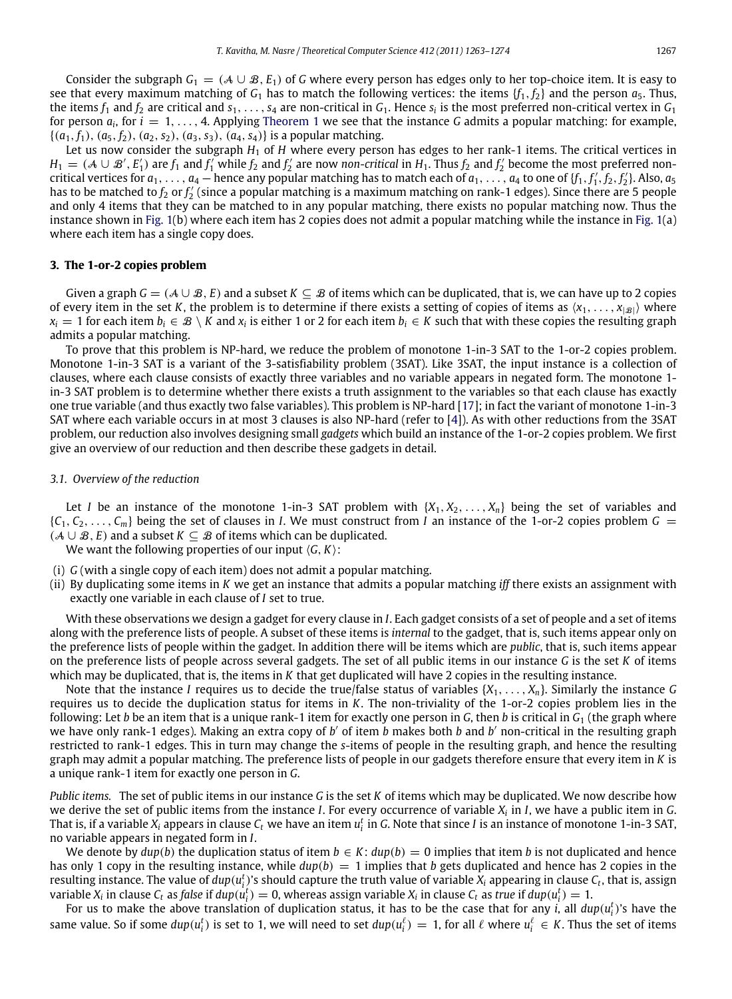Consider the subgraph  $G_1 = (A \cup B, E_1)$  of *G* where every person has edges only to her top-choice item. It is easy to see that every maximum matching of  $G_1$  has to match the following vertices: the items  $\{f_1, f_2\}$  and the person  $a_5$ . Thus, the items  $f_1$  and  $f_2$  are critical and  $s_1, \ldots, s_4$  are non-critical in  $G_1$ . Hence  $s_i$  is the most preferred non-critical vertex in  $G_1$ for person *a<sup>i</sup>* , for *i* = 1, . . . , 4. Applying [Theorem 1](#page-3-1) we see that the instance *G* admits a popular matching: for example,  ${(a_1, f_1), (a_5, f_2), (a_2, s_2), (a_3, s_3), (a_4, s_4)}$  is a popular matching.

Let us now consider the subgraph  $H_1$  of  $H$  where every person has edges to her rank-1 items. The critical vertices in  $H_1 = (A \cup B', E'_1)$  are  $f_1$  and  $f'_1$  while  $f_2$  and  $f'_2$  are now *non-critical* in  $H_1$ . Thus  $f_2$  and  $f'_2$  become the most preferred noncritical vertices for  $a_1, \ldots, a_4$  — hence any popular matching has to match each of  $a_1, \ldots, a_4$  to one of  $\{f_1, f'_1, f_2, f'_2\}$ . Also,  $a_5$ has to be matched to  $f_2$  or  $f_2'$  (since a popular matching is a maximum matching on rank-1 edges). Since there are 5 people and only 4 items that they can be matched to in any popular matching, there exists no popular matching now. Thus the instance shown in [Fig. 1\(](#page-3-0)b) where each item has 2 copies does not admit a popular matching while the instance in [Fig. 1\(](#page-3-0)a) where each item has a single copy does.

#### <span id="page-4-0"></span>**3. The 1-or-2 copies problem**

Given a graph  $G = (A \cup B, E)$  and a subset  $K \subseteq B$  of items which can be duplicated, that is, we can have up to 2 copies of every item in the set *K*, the problem is to determine if there exists a setting of copies of items as  $\langle x_1, \ldots, x_{|B|} \rangle$  where  $x_i = 1$  for each item  $b_i \in \mathcal{B} \setminus K$  and  $x_i$  is either 1 or 2 for each item  $b_i \in K$  such that with these copies the resulting graph admits a popular matching.

To prove that this problem is NP-hard, we reduce the problem of monotone 1-in-3 SAT to the 1-or-2 copies problem. Monotone 1-in-3 SAT is a variant of the 3-satisfiability problem (3SAT). Like 3SAT, the input instance is a collection of clauses, where each clause consists of exactly three variables and no variable appears in negated form. The monotone 1 in-3 SAT problem is to determine whether there exists a truth assignment to the variables so that each clause has exactly one true variable (and thus exactly two false variables). This problem is NP-hard [\[17\]](#page-11-15); in fact the variant of monotone 1-in-3 SAT where each variable occurs in at most 3 clauses is also NP-hard (refer to [\[4\]](#page-11-16)). As with other reductions from the 3SAT problem, our reduction also involves designing small *gadgets* which build an instance of the 1-or-2 copies problem. We first give an overview of our reduction and then describe these gadgets in detail.

#### <span id="page-4-1"></span>*3.1. Overview of the reduction*

Let *I* be an instance of the monotone 1-in-3 SAT problem with  $\{X_1, X_2, \ldots, X_n\}$  being the set of variables and  ${C_1, C_2, \ldots, C_m}$  being the set of clauses in *I*. We must construct from *I* an instance of the 1-or-2 copies problem  $G =$ (A ∪ B, *E*) and a subset *K* ⊆ B of items which can be duplicated.

We want the following properties of our input ⟨*G*, *K*⟩:

- (i) *G* (with a single copy of each item) does not admit a popular matching.
- (ii) By duplicating some items in *K* we get an instance that admits a popular matching *iff* there exists an assignment with exactly one variable in each clause of *I* set to true.

With these observations we design a gadget for every clause in *I*. Each gadget consists of a set of people and a set of items along with the preference lists of people. A subset of these items is *internal* to the gadget, that is, such items appear only on the preference lists of people within the gadget. In addition there will be items which are *public*, that is, such items appear on the preference lists of people across several gadgets. The set of all public items in our instance *G* is the set *K* of items which may be duplicated, that is, the items in *K* that get duplicated will have 2 copies in the resulting instance.

Note that the instance *I* requires us to decide the true/false status of variables  $\{X_1, \ldots, X_n\}$ . Similarly the instance *G* requires us to decide the duplication status for items in *K*. The non-triviality of the 1-or-2 copies problem lies in the following: Let *b* be an item that is a unique rank-1 item for exactly one person in *G*, then *b* is critical in  $G_1$  (the graph where we have only rank-1 edges). Making an extra copy of *b'* of item *b* makes both *b* and *b'* non-critical in the resulting graph restricted to rank-1 edges. This in turn may change the *s*-items of people in the resulting graph, and hence the resulting graph may admit a popular matching. The preference lists of people in our gadgets therefore ensure that every item in *K* is a unique rank-1 item for exactly one person in *G*.

*Public items.* The set of public items in our instance *G* is the set *K* of items which may be duplicated. We now describe how we derive the set of public items from the instance *I*. For every occurrence of variable *X<sup>i</sup>* in *I*, we have a public item in *G*. That is, if a variable  $X_i$  appears in clause  $C_t$  we have an item  $u_i^t$  in  $G$ . Note that since *I* is an instance of monotone 1-in-3 SAT, no variable appears in negated form in *I*.

We denote by  $dup(b)$  the duplication status of item  $b \in K$ :  $dup(b) = 0$  implies that item *b* is not duplicated and hence has only 1 copy in the resulting instance, while  $dup(b) = 1$  implies that *b* gets duplicated and hence has 2 copies in the resulting instance. The value of  $dup(u_i^t)$ 's should capture the truth value of variable  $X_i$  appearing in clause  $C_t$ , that is, assign variable  $X_i$  in clause  $C_t$  as false if  $dup(u_i^t)=0$ , whereas assign variable  $X_i$  in clause  $C_t$  as true if  $dup(u_i^t)=1$ .

For us to make the above translation of duplication status, it has to be the case that for any *i*, all  $dup(u_i^t)$ 's have the same value. So if some  $dup(u_i^t)$  is set to 1, we will need to set  $dup(u_i^\ell)=1$ , for all  $\ell$  where  $u_i^\ell\in K$ . Thus the set of items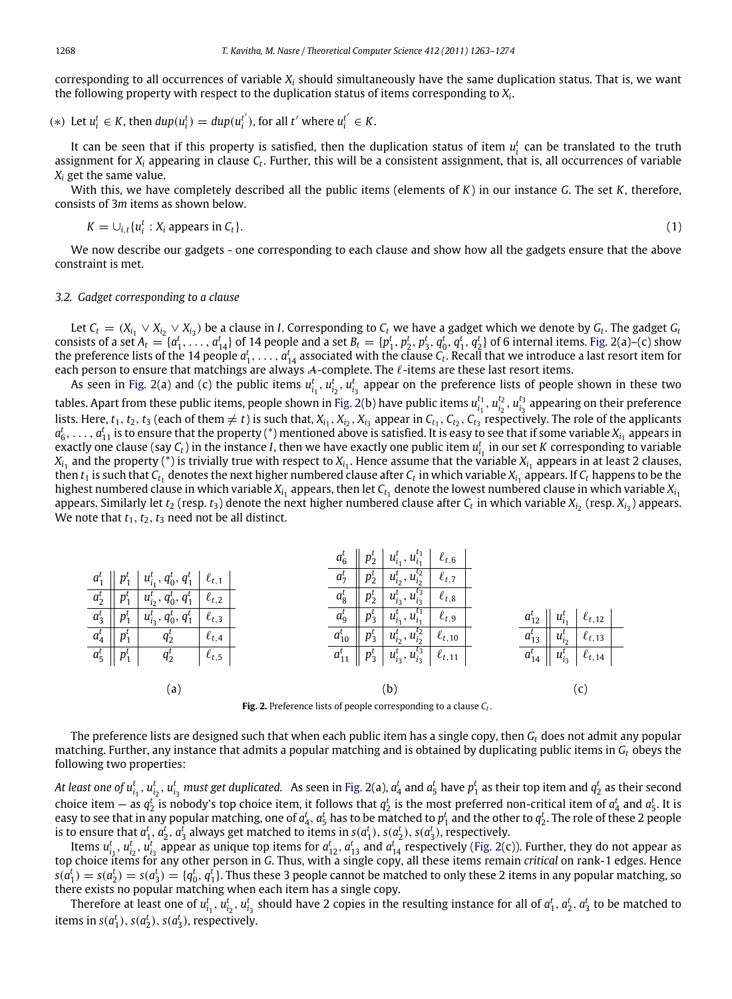corresponding to all occurrences of variable *X<sup>i</sup>* should simultaneously have the same duplication status. That is, we want the following property with respect to the duplication status of items corresponding to *X<sup>i</sup>* .

(\*) Let 
$$
u_i^t \in K
$$
, then  $dup(u_i^t) = dup(u_i^{t'})$ , for all  $t'$  where  $u_i^{t'} \in K$ .

It can be seen that if this property is satisfied, then the duplication status of item  $u_i^t$  can be translated to the truth assignment for  $X_i$  appearing in clause  $C_t$ . Further, this will be a consistent assignment, that is, all occurrences of variable *X<sup>i</sup>* get the same value.

With this, we have completely described all the public items (elements of *K*) in our instance *G*. The set *K*, therefore, consists of 3*m* items as shown below.

<span id="page-5-1"></span>
$$
K = \bigcup_{i,t} \{u_i^t : X_i \text{ appears in } C_t\}. \tag{1}
$$

We now describe our gadgets - one corresponding to each clause and show how all the gadgets ensure that the above constraint is met.

# *3.2. Gadget corresponding to a clause*

Let  $C_t = (X_{i_1} \vee X_{i_2} \vee X_{i_3})$  be a clause in I. Corresponding to  $C_t$  we have a gadget which we denote by  $G_t$ . The gadget  $G_t$ consists of a set  $A_t = \{a_1^t, \ldots, a_{14}^t\}$  of 14 people and a set  $B_t = \{p_1^t, p_2^t, p_3^t, q_0^t, q_1^t, q_2^t\}$  of 6 internal items. [Fig. 2\(](#page-5-0)a)–(c) show the preference lists of the 14 people  $a_1^t, \ldots, a_{14}^t$  associated with the clause  $C_t$ . Recall that we introduce a last resort item for each person to ensure that matchings are always *A*-complete. The *ℓ*-items are these last resort items.

As seen in [Fig. 2\(](#page-5-0)a) and (c) the public items  $u_{i_1}^t$ ,  $u_{i_2}^t$ ,  $u_{i_3}^t$  appear on the preference lists of people shown in these two tables. Apart from these public items, people shown in [Fig. 2\(](#page-5-0)b) have public items  $u_{i_1}^{t_1}$ ,  $u_{i_2}^{t_2}$ ,  $u_{i_3}^{t_3}$  appearing on their preference lists. Here,  $t_1$ ,  $t_2$ ,  $t_3$  (each of them  $\neq t$ ) is such that,  $X_{i_1}, X_{i_2}, X_{i_3}$  appear in  $C_{t_1}, C_{t_2}, C_{t_3}$  respectively. The role of the applicants  $a_6^t, \ldots, a_{11}^t$  is to ensure that the property (\*) mentioned above is satisfied. It is easy to see that if some variable  $X_{i_1}$  appears in exactly one clause (say  $C_t$ ) in the instance *I*, then we have exactly one public item  $u_{i_1}^t$  in our set *K* corresponding to variable  $X_{i_1}$  and the property (\*) is trivially true with respect to  $X_{i_1}.$  Hence assume that the variable  $X_{i_1}$  appears in at least 2 clauses, then  $t_1$  is such that  $\mathcal{C}_{t_1}$  denotes the next higher numbered clause after  $\mathcal{C}_t$  in which variable  $X_{i_1}$  appears. If  $\mathcal{C}_t$  happens to be the highest numbered clause in which variable  $X_{i_1}$  appears, then let  $\mathcal{C}_{t_1}$  denote the lowest numbered clause in which variable  $X_{i_1}$ appears. Similarly let  $t_2$  (resp.  $t_3$ ) denote the next higher numbered clause after  $C_t$  in which variable  $X_{i_2}$  (resp.  $X_{i_3}$ ) appears. We note that  $t_1$ ,  $t_2$ ,  $t_3$  need not be all distinct.

<span id="page-5-0"></span>

|                         |                                   |                                                                                          |              | $a_6^{\iota}$ |         | $\left\  \begin{array}{c} p_2^t \\ p_2^t \end{array} \right\ $ $u_{i_1}^t$ , $u_{i_1}^{t_1}$ $\left\  \begin{array}{c} \ell_{t,6} \\ \end{array} \right\ $ |               |  |              |                 |                                                                  |  |
|-------------------------|-----------------------------------|------------------------------------------------------------------------------------------|--------------|---------------|---------|------------------------------------------------------------------------------------------------------------------------------------------------------------|---------------|--|--------------|-----------------|------------------------------------------------------------------|--|
|                         |                                   | $a_1^t$    $p_1^t$   $u_{i_1}^t$ , $q_0^t$ , $q_1^t$   $\ell_{t,1}$                      |              | $a_7^t$       | $p_2^t$ | $ u_{i_2}^t, u_{i_2}^{t_2} $                                                                                                                               | $\ell_{t,7}$  |  |              |                 |                                                                  |  |
|                         |                                   | $a_2^t \parallel p_1^t \parallel u_{i_2}^t, q_0^t, q_1^t \parallel \ell_{t,2} \parallel$ |              | $a_8^t$       |         | $p_2^t   u_{i_3}^t, u_{i_3}^{t_3}$                                                                                                                         | $\ell_{t,8}$  |  |              |                 |                                                                  |  |
|                         | $a_3^t \parallel p_1^t \parallel$ | $u_{i_3}^{\mu}, q_0^{\mu}, q_1^{\mu}$                                                    | $\ell_{t,3}$ | $a_9^t$       | $p_3^t$ | $ u_{i_1}^t, u_{i_1}^{t_1} $                                                                                                                               | $\ell_{t,9}$  |  |              |                 | $a_{12}^{\iota} \parallel u_{i_1}^{\iota} \parallel \ell_{t,12}$ |  |
| $a_4^t \parallel p_1^t$ |                                   | $q_2^{\prime}$                                                                           | $\ell_{t,4}$ | $a_{10}^t$    |         | $p_3^t   u_{i_2}^t, u_{i_2}^{t_2}  $                                                                                                                       | $\ell_{t,10}$ |  | $a_{13}^t$   | $  u_{i_2}^t  $ | $\ell_{t,13}$                                                    |  |
|                         | $a_5^t \mid p_1^t \mid$           | $q_2^t$                                                                                  | $\ell_{t,5}$ |               |         | $a_{11}^t \parallel p_3^t \parallel u_{i_3}^t, u_{i_3}^{t_3} \parallel \ell_{t,11}$                                                                        |               |  | $a_{14}^{t}$ |                 | $\parallel u_{i_3}^{\overline{t}} \parallel \ell_{t,14}$         |  |
|                         |                                   |                                                                                          |              |               |         |                                                                                                                                                            |               |  |              |                 |                                                                  |  |
| $\lbrack a \rbrack$     |                                   |                                                                                          |              | b.            |         |                                                                                                                                                            |               |  |              |                 |                                                                  |  |

**Fig. 2.** Preference lists of people corresponding to a clause *C<sup>t</sup>* .

The preference lists are designed such that when each public item has a single copy, then *G<sup>t</sup>* does not admit any popular matching. Further, any instance that admits a popular matching and is obtained by duplicating public items in *G<sup>t</sup>* obeys the following two properties:

At least one of  $u^t_{i_1},u^t_{i_2},u^t_{i_3}$  must get duplicated.  $\,$  As seen in [Fig. 2\(](#page-5-0)a),  $a^t_4$  and  $a^t_5$  have  $p^t_1$  as their top item and  $q^t_2$  as their second choice item  $-$  as  $q_2^t$  is nobody's top choice item, it follows that  $q_2^t$  is the most preferred non-critical item of  $a_4^t$  and  $a_5^t$ . It is easy to see that in any popular matching, one of  $a_4^t$ ,  $a_5^t$  has to be matched to  $p_1^t$  and the other to  $q_2^t$ . The role of these 2 people is to ensure that  $a_1^t$ ,  $a_2^t$ ,  $a_3^t$  always get matched to items in  $s(a_1^t)$ ,  $s(a_2^t)$ ,  $s(a_3^t)$ , respectively.

Items  $u_{i_1}^t$ ,  $u_{i_2}^t$ ,  $u_{i_3}^t$  appear as unique top items for  $a_{12}^t$ ,  $a_{13}^t$  and  $a_{14}^t$  respectively [\(Fig. 2\(](#page-5-0)c)). Further, they do not appear as top choice items for any other person in *G*. Thus, with a single copy, all these items remain *critical* on rank-1 edges. Hence  $s(a_1^t)=s(a_2^t)=s(a_3^t)=\{q_0^t, q_1^t\}$ . Thus these 3 people cannot be matched to only these 2 items in any popular matching, so there exists no popular matching when each item has a single copy.

Therefore at least one of  $u_{i_1}^t$ ,  $u_{i_2}^t$ ,  $u_{i_3}^t$  should have 2 copies in the resulting instance for all of  $a_1^t$ ,  $a_2^t$ ,  $a_3^t$  to be matched to items in  $s(a_1^t)$ ,  $s(a_2^t)$ ,  $s(a_3^t)$ , respectively.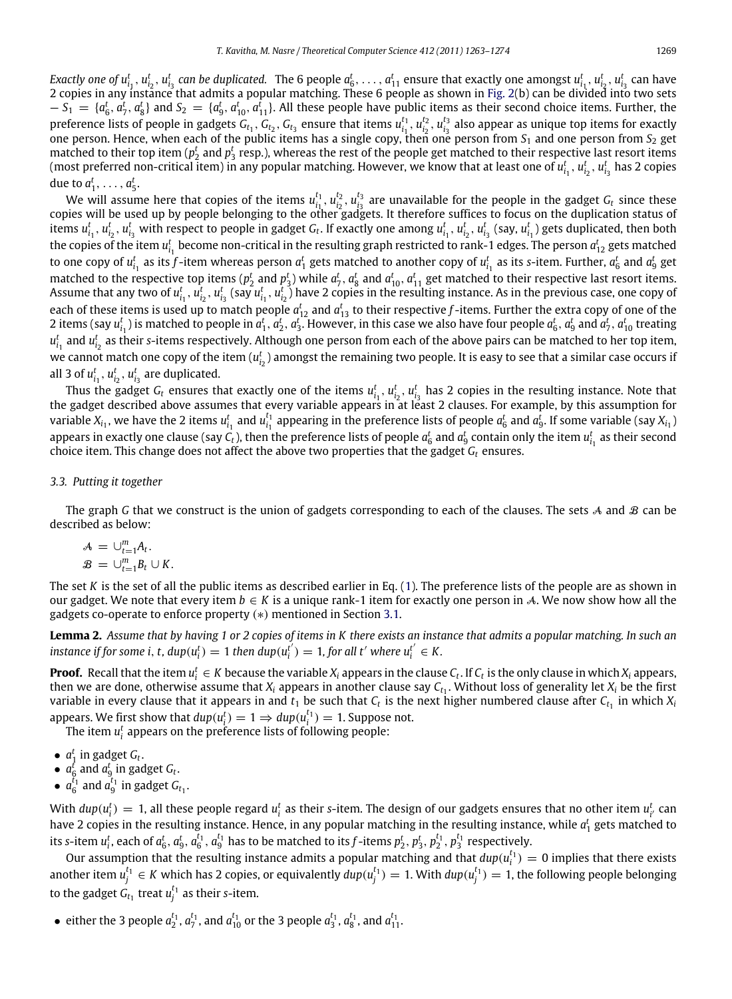*Exactly one of*  $u_{i_1}^t$ ,  $u_{i_2}^t$ ,  $u_{i_3}^t$  can be duplicated. The 6 people  $a_6^t$ , . . . ,  $a_{11}^t$  ensure that exactly one amongst  $u_{i_1}^t$ ,  $u_{i_2}^t$ ,  $u_{i_3}^t$  can have 2 copies in any instance that admits a popular matching. These 6 people as shown in [Fig. 2\(](#page-5-0)b) can be divided into two sets  $S_1 = \{a_6^t, a_7^t, a_8^t\}$  and  $S_2 = \{a_9^t, a_{10}^t, a_{11}^t\}$ . All these people have public items as their second choice items. Further, the preference lists of people in gadgets  $G_{t_1}$ ,  $G_{t_2}$ ,  $G_{t_3}$  ensure that items  $u_{i_1}^{t_1}$ ,  $u_{i_2}^{t_2}$ ,  $u_{i_3}^{t_3}$  also appear as unique top items for exactly one person. Hence, when each of the public items has a single copy, then one person from  $S_1$  and one person from  $S_2$  get matched to their top item ( $p_2^t$  and  $p_3^t$  resp.), whereas the rest of the people get matched to their respective last resort items (most preferred non-critical item) in any popular matching. However, we know that at least one of  $u^t_{i_1},u^t_{i_2},u^t_{i_3}$  has 2 copies due to  $a_1^t, \ldots, a_5^t$ .

We will assume here that copies of the items  $u_{i_1}^{t_1}$ ,  $u_{i_2}^{t_2}$ ,  $u_{i_3}^{t_3}$  are unavailable for the people in the gadget  $G_t$  since these copies will be used up by people belonging to the other gadgets. It therefore suffices to focus on the duplication status of items  $u_{i_1}^t$ ,  $u_{i_2}^t$ ,  $u_{i_3}^t$  with respect to people in gadget  $G_t$ . If exactly one among  $u_{i_1}^t$ ,  $u_{i_2}^t$ ,  $u_{i_3}^t$  (say,  $u_{i_1}^t$ ) gets duplicated, then both the copies of the item  $u_{i_1}^t$  become non-critical in the resulting graph restricted to rank-1 edges. The person  $a_{12}^t$  gets matched to one copy of  $u_{i_1}^t$  as its  $f$ -item whereas person  $a_1^t$  gets matched to another copy of  $u_{i_1}^t$  as its s-item. Further,  $a_6^t$  and  $a_9^t$  get matched to the respective top items ( $p_2^t$  and  $p_3^t$ ) while  $a_7^t$ ,  $a_8^t$  and  $a_{10}^t$ ,  $a_{11}^t$  get matched to their respective last resort items. Assume that any two of  $u_{i_1}^t$ ,  $u_{i_2}^t$ ,  $u_{i_3}^t$  (say  $u_{i_1}^t$ ,  $u_{i_2}^t$ ) have 2 copies in the resulting instance. As in the previous case, one copy of each of these items is used up to match people  $a_{12}^t$  and  $a_{13}^t$  to their respective *f*-items. Further the extra copy of one of the 2 items (say  $u_{i_1}^t$ ) is matched to people in  $a_1^t$ ,  $a_2^t$ ,  $a_3^t$ . However, in this case we also have four people  $a_6^t$ ,  $a_9^t$  and  $a_7^t$ ,  $a_{10}^t$  treating  $u_{i_1}^t$  and  $u_{i_2}^t$  as their *s*-items respectively. Although one person from each of the above pairs can be matched to her top item, we cannot match one copy of the item  $(u_{i_2}^t)$  amongst the remaining two people. It is easy to see that a similar case occurs if all 3 of  $u_{i_1}^t$ ,  $u_{i_2}^t$ ,  $u_{i_3}^t$  are duplicated.

Thus the gadget  $G_t$  ensures that exactly one of the items  $u_{i_1}^t$ ,  $u_{i_2}^t$ ,  $u_{i_3}^t$  has 2 copies in the resulting instance. Note that the gadget described above assumes that every variable appears in at least 2 clauses. For example, by this assumption for variable  $X_{i_1}$ , we have the 2 items  $u_{i_1}^t$  and  $u_{i_1}^{t_1}$  appearing in the preference lists of people  $a_6^t$  and  $a_9^t$ . If some variable (say  $X_{i_1}$ ) appears in exactly one clause (say  $C_t$ ), then the preference lists of people  $a_6^t$  and  $a_9^t$  contain only the item  $u_{i_1}^t$  as their second choice item. This change does not affect the above two properties that the gadget *G<sup>t</sup>* ensures.

#### *3.3. Putting it together*

The graph *G* that we construct is the union of gadgets corresponding to each of the clauses. The sets  $A$  and  $B$  can be described as below:

$$
\mathcal{A} = \bigcup_{t=1}^{m} A_t.
$$
  

$$
\mathcal{B} = \bigcup_{t=1}^{m} B_t \cup K.
$$

The set *K* is the set of all the public items as described earlier in Eq. [\(1\)](#page-5-1). The preference lists of the people are as shown in our gadget. We note that every item  $b \in K$  is a unique rank-1 item for exactly one person in A. We now show how all the gadgets co-operate to enforce property (∗) mentioned in Section [3.1.](#page-4-1)

<span id="page-6-0"></span>**Lemma 2.** *Assume that by having 1 or 2 copies of items in K there exists an instance that admits a popular matching. In such an instance if for some i, t,*  $dup(u_i^t) = 1$  *then*  $dup(u_i^{t})$  $\sigma_i^{t'}$ ) = 1, for all t' where  $u_i^{t'} \in K$ .

**Proof.** Recall that the item  $u_i^t \in K$  because the variable  $X_i$  appears in the clause  $C_t$ . If  $C_t$  is the only clause in which  $X_i$  appears, then we are done, otherwise assume that  $X_i$  appears in another clause say  $C_{t_1}.$  Without loss of generality let  $X_i$  be the first variable in every clause that it appears in and  $t_1$  be such that  $C_t$  is the next higher numbered clause after  $C_{t_1}$  in which  $X_i$ appears. We first show that  $dup(u_i^t) = 1 \Rightarrow dup(u_i^{t_1}) = 1$ . Suppose not.

The item  $u_i^t$  appears on the preference lists of following people:

- $a_1^t$  in gadget  $G_t$ .
- $a_6^t$  and  $a_9^t$  in gadget  $G_t$ .
- $a_6^{t_1}$  and  $a_9^{t_1}$  in gadget  $G_{t_1}$ .

With  $dup(u_i^t) = 1$ , all these people regard  $u_i^t$  as their s-item. The design of our gadgets ensures that no other item  $u_{i'}^t$  can have 2 copies in the resulting instance. Hence, in any popular matching in the resulting instance, while  $a_1^t$  gets matched to its s-item  $u_i^t$ , each of  $a_6^t$ ,  $a_6^t$ ,  $a_6^{t_1}$ ,  $a_9^{t_1}$  has to be matched to its f-items  $p_2^t$ ,  $p_3^t$ ,  $p_2^{t_1}$ ,  $p_3^{t_1}$  respectively.

Our assumption that the resulting instance admits a popular matching and that  $dup(u_i^{t_1})=0$  implies that there exists another item  $u_j^{t_1} \in K$  which has 2 copies, or equivalently  $dup(u_j^{t_1}) = 1$ . With  $dup(u_j^{t_1}) = 1$ , the following people belonging to the gadget  $G_{t_1}$  treat  $u_j^{t_1}$  as their *s*-item.

• either the 3 people  $a_2^{t_1}$ ,  $a_7^{t_1}$ , and  $a_{10}^{t_1}$  or the 3 people  $a_3^{t_1}$ ,  $a_8^{t_1}$ , and  $a_{11}^{t_1}$ .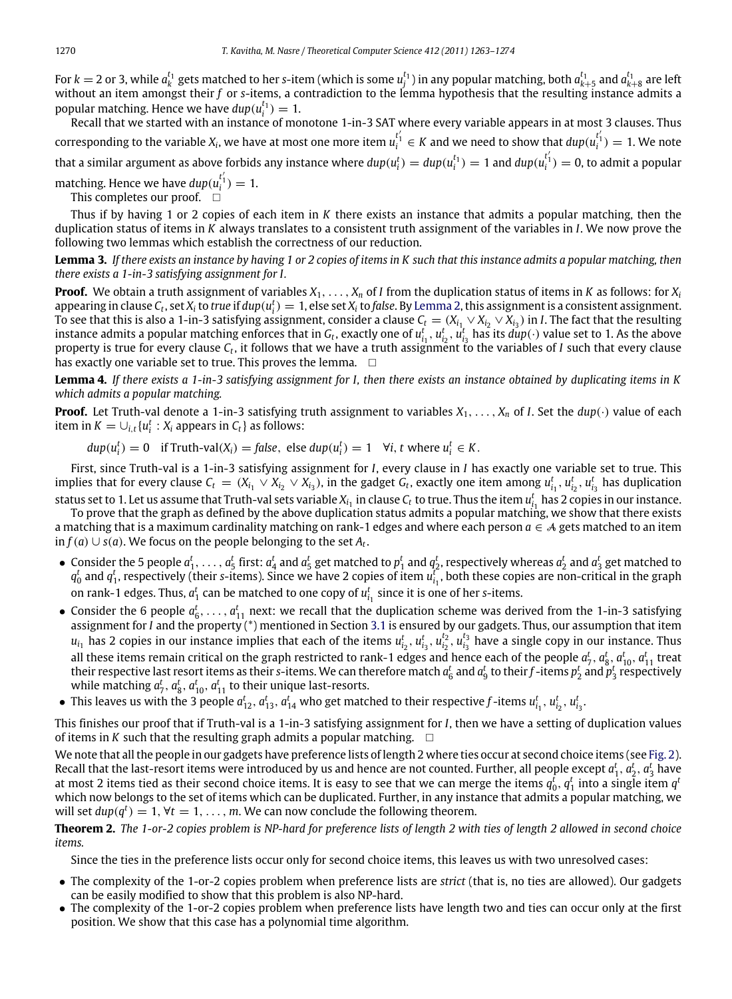For  $k=2$  or 3, while  $a_k^{t_1}$  gets matched to her s-item (which is some  $u_j^{t_1}$ ) in any popular matching, both  $a_{k+5}^{t_1}$  and  $a_{k+8}^{t_1}$  are left without an item amongst their *f* or *s*-items, a contradiction to the lemma hypothesis that the resulting instance admits a popular matching. Hence we have  $dup(u_i^{t_1}) = 1$ .

Recall that we started with an instance of monotone 1-in-3 SAT where every variable appears in at most 3 clauses. Thus  $\text{corresponding to the variable } X_i$ , we have at most one more item  $u_i^{t'_1} \in K$  and we need to show that  $dup(u_i^{t'_1}) = 1$ . We note that a similar argument as above forbids any instance where  $dup(u_i^t)=dup(u_i^{t_1})=1$  and  $dup(u_i^{t_1'})=0$ , to admit a popular

matching. Hence we have  $dup(u_i^{t_1'}) = 1$ .

This completes our proof.

Thus if by having 1 or 2 copies of each item in *K* there exists an instance that admits a popular matching, then the duplication status of items in *K* always translates to a consistent truth assignment of the variables in *I*. We now prove the following two lemmas which establish the correctness of our reduction.

**Lemma 3.** *If there exists an instance by having 1 or 2 copies of items in K such that this instance admits a popular matching, then there exists a 1-in-3 satisfying assignment for I.*

**Proof.** We obtain a truth assignment of variables *X*1, . . . , *X<sup>n</sup>* of *I* from the duplication status of items in *K* as follows: for *X<sup>i</sup>* appearing in clause  $C_t$ , set  $X_i$  to  $true$  if  $dup(u_i^t) = 1$ , else set  $X_i$  to false. By [Lemma 2,](#page-6-0) this assignment is a consistent assignment. To see that this is also a 1-in-3 satisfying assignment, consider a clause  $C_t=(X_{i_1}\vee X_{i_2}\vee X_{i_3})$  in *I*. The fact that the resulting instance admits a popular matching enforces that in  $G_t$ , exactly one of  $u_{i_1}^t$ ,  $u_{i_2}^t$ ,  $u_{i_3}^t$  has its  $dup(\cdot)$  value set to 1. As the above property is true for every clause  $C_t$ , it follows that we have a truth assignment to the variables of *I* such that every clause has exactly one variable set to true. This proves the lemma.  $\square$ 

**Lemma 4.** *If there exists a 1-in-3 satisfying assignment for I, then there exists an instance obtained by duplicating items in K which admits a popular matching.*

**Proof.** Let Truth-val denote a 1-in-3 satisfying truth assignment to variables  $X_1, \ldots, X_n$  of *I*. Set the  $dup(\cdot)$  value of each item in  $K = \bigcup_{i,t} \{u_i^t : X_i \text{ appears in } C_t\}$  as follows:

 $dup(u_i^t) = 0$  if Truth-val $(X_i) = false$ , else  $dup(u_i^t) = 1$   $\forall i, t$  where  $u_i^t \in K$ .

First, since Truth-val is a 1-in-3 satisfying assignment for *I*, every clause in *I* has exactly one variable set to true. This implies that for every clause  $C_t = (X_{i_1} \vee X_{i_2} \vee X_{i_3})$ , in the gadget  $G_t$ , exactly one item among  $u_{i_1}^t, u_{i_2}^t, u_{i_3}^t$  has duplication status set to 1. Let us assume that Truth-val sets variable  $X_{i_1}$  in clause  $C_t$  to true. Thus the item  $u_{i_1}^t$  has 2 copies in our instance.

To prove that the graph as defined by the above duplication status admits a popular matching, we show that there exists a matching that is a maximum cardinality matching on rank-1 edges and where each person *a* ∈ A gets matched to an item in *f*(*a*) ∪ *s*(*a*). We focus on the people belonging to the set  $A_t$ .

- Consider the 5 people  $a_1^t, \ldots, a_5^t$  first:  $a_4^t$  and  $a_5^t$  get matched to  $p_1^t$  and  $q_2^t$ , respectively whereas  $a_2^t$  and  $a_3^t$  get matched to  $q_0^t$  and  $q_1^t$ , respectively (their *s*-items). Since we have 2 copies of item  $u_{i_1}^t$ , both these copies are non-critical in the graph on rank-1 edges. Thus,  $a_1^t$  can be matched to one copy of  $u_{i_1}^t$  since it is one of her *s*-items.
- Consider the 6 people  $a_6^t, \ldots, a_{11}^t$  next: we recall that the duplication scheme was derived from the 1-in-3 satisfying assignment for *I* and the property (\*) mentioned in Section [3.1](#page-4-1) is ensured by our gadgets. Thus, our assumption that item  $u_{i_1}$  has 2 copies in our instance implies that each of the items  $u_{i_2}^t$ ,  $u_{i_3}^t$ ,  $u_{i_2}^{t_2}$ ,  $u_{i_3}^{t_3}$  have a single copy in our instance. Thus all these items remain critical on the graph restricted to rank-1 edges and hence each of the people  $a_7^t$ ,  $a_8^t$ ,  $a_{10}^t$ ,  $a_{11}^t$  treat their respective last resort items as their *s*-items. We can therefore match  $a^t_6$  and  $a^t_9$  to their  $f$ -items  $p^t_2$  and  $p^t_3$  respectively while matching  $a_7^t$ ,  $a_8^t$ ,  $a_{10}^t$ ,  $a_{11}^t$  to their unique last-resorts.
- This leaves us with the 3 people  $a_{12}^t$ ,  $a_{13}^t$ ,  $a_{14}^t$  who get matched to their respective f-items  $u_{i_1}^t$ ,  $u_{i_2}^t$ ,  $u_{i_3}^t$ .

This finishes our proof that if Truth-val is a 1-in-3 satisfying assignment for *I*, then we have a setting of duplication values of items in *K* such that the resulting graph admits a popular matching.  $\Box$ 

We note that all the people in our gadgets have preference lists of length 2 where ties occur at second choice items (see [Fig. 2\)](#page-5-0). Recall that the last-resort items were introduced by us and hence are not counted. Further, all people except  $a_1^t$ ,  $a_2^t$ ,  $a_3^t$  have at most 2 items tied as their second choice items. It is easy to see that we can merge the items  $q_0^t$ ,  $q_1^t$  into a single item  $q^t$ which now belongs to the set of items which can be duplicated. Further, in any instance that admits a popular matching, we will set  $dup(q^t) = 1, \forall t = 1, \ldots, m$ . We can now conclude the following theorem.

**Theorem 2.** *The 1-or-2 copies problem is NP-hard for preference lists of length 2 with ties of length 2 allowed in second choice items.*

Since the ties in the preference lists occur only for second choice items, this leaves us with two unresolved cases:

- The complexity of the 1-or-2 copies problem when preference lists are *strict* (that is, no ties are allowed). Our gadgets can be easily modified to show that this problem is also NP-hard.
- The complexity of the 1-or-2 copies problem when preference lists have length two and ties can occur only at the first position. We show that this case has a polynomial time algorithm.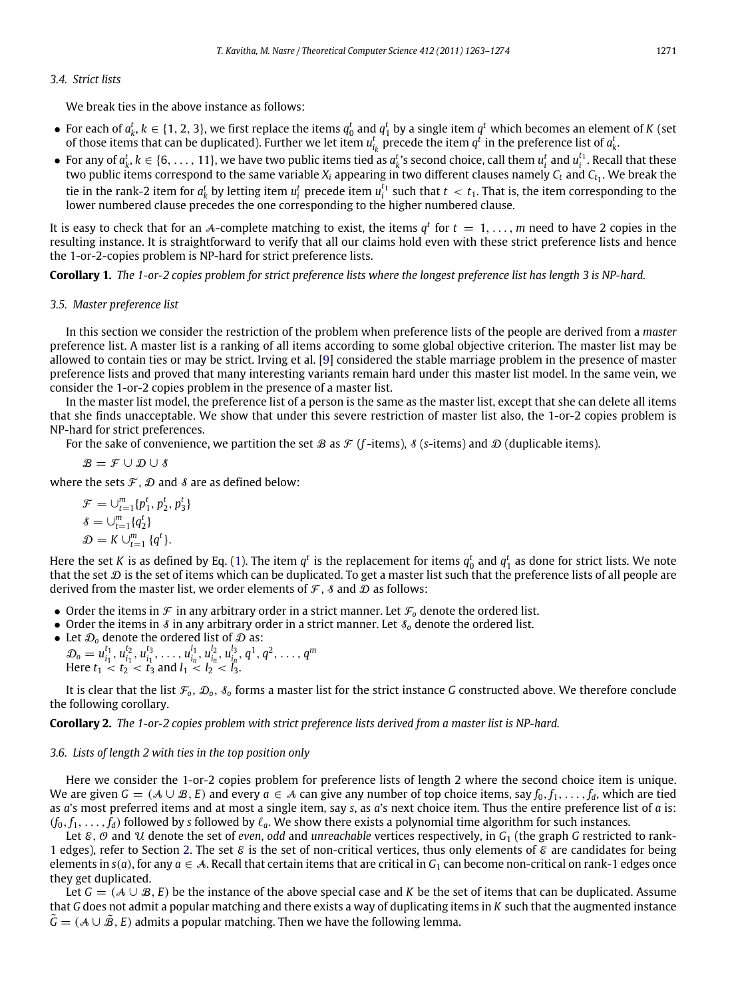### *3.4. Strict lists*

We break ties in the above instance as follows:

- For each of  $a_k^t$ ,  $k \in \{1, 2, 3\}$ , we first replace the items  $q_0^t$  and  $q_1^t$  by a single item  $q^t$  which becomes an element of *K* (set of those items that can be duplicated). Further we let item  $u_{i_k}^t$  precede the item  $q^t$  in the preference list of  $a_k^t$ .
- For any of  $a_k^t$ ,  $k \in \{6, \ldots, 11\}$ , we have two public items tied as  $a_k^t$ 's second choice, call them  $u_i^t$  and  $u_i^{t_1}$ . Recall that these two public items correspond to the same variable  $X_i$  appearing in two different clauses namely  $C_t$  and  $C_{t_1}.$  We break the tie in the rank-2 item for  $a_k^t$  by letting item  $u_i^t$  precede item  $u_i^{t_1}$  such that  $t < t_1$ . That is, the item corresponding to the lower numbered clause precedes the one corresponding to the higher numbered clause.

It is easy to check that for an A-complete matching to exist, the items  $q^t$  for  $t = 1, \ldots, m$  need to have 2 copies in the resulting instance. It is straightforward to verify that all our claims hold even with these strict preference lists and hence the 1-or-2-copies problem is NP-hard for strict preference lists.

**Corollary 1.** *The 1-or-2 copies problem for strict preference lists where the longest preference list has length 3 is NP-hard.*

#### *3.5. Master preference list*

In this section we consider the restriction of the problem when preference lists of the people are derived from a *master* preference list. A master list is a ranking of all items according to some global objective criterion. The master list may be allowed to contain ties or may be strict. Irving et al. [\[9\]](#page-11-17) considered the stable marriage problem in the presence of master preference lists and proved that many interesting variants remain hard under this master list model. In the same vein, we consider the 1-or-2 copies problem in the presence of a master list.

In the master list model, the preference list of a person is the same as the master list, except that she can delete all items that she finds unacceptable. We show that under this severe restriction of master list also, the 1-or-2 copies problem is NP-hard for strict preferences.

For the sake of convenience, we partition the set B as  $\mathcal F$  (*f*-items),  $\mathcal S$  (*s*-items) and D (duplicable items).

 $\mathcal{B} = \mathcal{F} \cup \mathcal{D} \cup \mathcal{S}$ 

where the sets  $\mathcal{F}, \mathcal{D}$  and  $\mathcal{S}$  are as defined below:

 $\mathcal{F} = \bigcup_{t=1}^{m} \{p_1^t, p_2^t, p_3^t\}$  $\delta = \bigcup_{t=1}^{m} \{q_2^t\}$  $\mathcal{D} = K \cup_{t=1}^{m} \{q^{t}\}.$ 

Here the set *K* is as defined by Eq. [\(1\)](#page-5-1). The item  $q^t$  is the replacement for items  $q_0^t$  and  $q_1^t$  as done for strict lists. We note that the set  $D$  is the set of items which can be duplicated. To get a master list such that the preference lists of all people are derived from the master list, we order elements of  $\mathcal F$ ,  $\mathcal S$  and  $\mathcal D$  as follows:

- Order the items in  $\mathcal F$  in any arbitrary order in a strict manner. Let  $\mathcal F_o$  denote the ordered list.
- Order the items in  $\delta$  in any arbitrary order in a strict manner. Let  $\delta_0$  denote the ordered list.
- Let  $\mathcal{D}_0$  denote the ordered list of  $\mathcal D$  as:  $\mathcal{D}_0 = u_{i_1}^{t_1}, u_{i_1}^{t_2}, u_{i_1}^{t_3}, \dots, u_{i_n}^{l_1}, u_{i_n}^{l_2}, u_{i_n}^{l_3}, q^1, q^2, \dots, q^m$ Here  $t_1 < t_2 < t_3$  and  $l_1 < l_2 < l_3$ .

It is clear that the list  $\mathcal{F}_0$ ,  $\mathcal{D}_0$ ,  $\mathcal{S}_0$  forms a master list for the strict instance *G* constructed above. We therefore conclude the following corollary.

**Corollary 2.** *The 1-or-2 copies problem with strict preference lists derived from a master list is NP-hard.*

#### *3.6. Lists of length 2 with ties in the top position only*

Here we consider the 1-or-2 copies problem for preference lists of length 2 where the second choice item is unique. We are given  $G = (A \cup B, E)$  and every  $a \in A$  can give any number of top choice items, say  $f_0, f_1, \ldots, f_d$ , which are tied as *a*'s most preferred items and at most a single item, say *s*, as *a*'s next choice item. Thus the entire preference list of *a* is:  $(f_0, f_1, \ldots, f_d)$  followed by *s* followed by  $\ell_a$ . We show there exists a polynomial time algorithm for such instances.

Let  $\epsilon$ ,  $\theta$  and  $\theta$  denote the set of *even*, *odd* and *unreachable* vertices respectively, in  $G_1$  (the graph *G* restricted to rank-1 edges), refer to Section [2.](#page-2-0) The set  $\mathcal E$  is the set of non-critical vertices, thus only elements of  $\mathcal E$  are candidates for being elements in  $s(a)$ , for any  $a \in \mathcal{A}$ . Recall that certain items that are critical in  $G_1$  can become non-critical on rank-1 edges once they get duplicated.

<span id="page-8-0"></span>Let *G* = (A ∪ B, *E*) be the instance of the above special case and *K* be the set of items that can be duplicated. Assume that *G* does not admit a popular matching and there exists a way of duplicating items in *K* such that the augmented instance  $G = (A \cup B, E)$  admits a popular matching. Then we have the following lemma.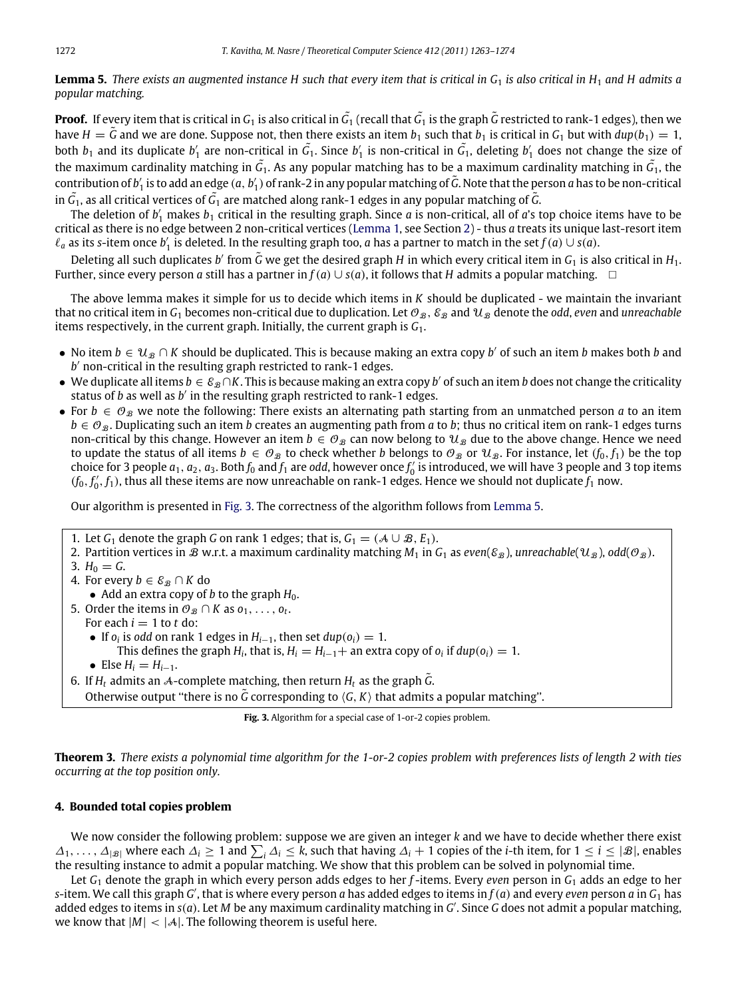# **Lemma 5.** *There exists an augmented instance H such that every item that is critical in G*<sup>1</sup> *is also critical in H*<sup>1</sup> *and H admits a popular matching.*

**Proof.** If every item that is critical in  $G_1$  is also critical in  $\tilde{G_1}$  (recall that  $\tilde{G_1}$  is the graph  $\tilde{G}$  restricted to rank-1 edges), then we have  $H = \tilde{G}$  and we are done. Suppose not, then there exists an item  $b_1$  such that  $b_1$  is critical in  $G_1$  but with  $dup(b_1) = 1$ , both  $b_1$  and its duplicate  $b'_1$  are non-critical in  $\tilde{G}_1$ . Since  $b'_1$  is non-critical in  $\tilde{G}_1$ , deleting  $b'_1$  does not change the size of the maximum cardinality matching in  $\tilde{G_1}$ . As any popular matching has to be a maximum cardinality matching in  $\tilde{G_1}$ , the contribution of  $b'_1$  is to add an edge  $(a, b'_1)$  of rank-2 in any popular matching of  $\tilde G$ . Note that the person  $a$  has to be non-critical in  $\tilde G_1$ , as all critical vertices of  $\tilde G_1$  are matched along rank-1 edges in any popular matching of  $\tilde G$ .

The deletion of  $b'_1$  makes  $b_1$  critical in the resulting graph. Since  $a$  is non-critical, all of  $a$ 's top choice items have to be critical as there is no edge between 2 non-critical vertices [\(Lemma 1,](#page-2-1) see Section [2\)](#page-2-0) - thus *a* treats its unique last-resort item  $\ell_a$  as its *s*-item once  $b'_1$  is deleted. In the resulting graph too, *a* has a partner to match in the set  $f(a) \cup s(a)$ .

Deleting all such duplicates b' from  $\tilde{G}$  we get the desired graph H in which every critical item in  $G_1$  is also critical in  $H_1$ . Further, since every person *a* still has a partner in *f*(*a*) ∪ *s*(*a*), it follows that *H* admits a popular matching.  $\Box$ 

The above lemma makes it simple for us to decide which items in *K* should be duplicated - we maintain the invariant that no critical item in  $G_1$  becomes non-critical due to duplication. Let  $\mathcal{O}_B$ ,  $\mathcal{E}_B$  and  $\mathcal{U}_B$  denote the *odd*, *even* and *unreachable* items respectively, in the current graph. Initially, the current graph is *G*1.

- No item  $b \in u_x \cap K$  should be duplicated. This is because making an extra copy b' of such an item b makes both b and b' non-critical in the resulting graph restricted to rank-1 edges.
- We duplicate all items  $b \in \mathcal{E}_{\mathcal{B}} \cap K$ . This is because making an extra copy b' of such an item b does not change the criticality status of *b* as well as *b* ′ in the resulting graph restricted to rank-1 edges.
- For  $b \in \mathcal{O}_B$  we note the following: There exists an alternating path starting from an unmatched person *a* to an item  $b \in O_B$ . Duplicating such an item *b* creates an augmenting path from *a* to *b*; thus no critical item on rank-1 edges turns non-critical by this change. However an item  $b \in \mathcal{O}_B$  can now belong to  $\mathcal{U}_B$  due to the above change. Hence we need to update the status of all items  $b \in \mathcal{O}_{\mathcal{B}}$  to check whether *b* belongs to  $\mathcal{O}_{\mathcal{B}}$  or  $\mathcal{U}_{\mathcal{B}}$ . For instance, let  $(f_0, f_1)$  be the top choice for 3 people  $a_1$ ,  $a_2$ ,  $a_3$ . Both  $f_0$  and  $f_1$  are *odd*, however once  $f'_0$  is introduced, we will have 3 people and 3 top items  $(f_0, f'_0, f_1)$ , thus all these items are now unreachable on rank-1 edges. Hence we should not duplicate  $f_1$  now.

Our algorithm is presented in [Fig. 3.](#page-9-1) The correctness of the algorithm follows from [Lemma 5.](#page-8-0)

- <span id="page-9-1"></span>1. Let *G*<sub>1</sub> denote the graph *G* on rank 1 edges; that is,  $G_1 = (A \cup B, E_1)$ .
- 2. Partition vertices in B w.r.t. a maximum cardinality matching  $M_1$  in  $G_1$  as *even*( $\varepsilon_B$ ), *unreachable*( $u_B$ ),  $odd(\mathcal{O}_B)$ .
- 3.  $H_0 = G$ .
- 4. For every  $b \in \mathcal{E}_{\mathcal{B}} \cap K$  do • Add an extra copy of *b* to the graph  $H_0$ .
- 5. Order the items in  $\mathcal{O}_B \cap K$  as  $o_1, \ldots, o_t$ .
	- For each  $i = 1$  to  $t$  do:
	- $\bullet$  If *o*<sup>*i*</sup> is *odd* on rank 1 edges in *H*<sub>*i*−1</sub>, then set *dup*(*o*<sup>*i*</sup>) = 1.
		- This defines the graph  $H_i$ , that is,  $H_i = H_{i-1} +$  an extra copy of  $o_i$  if  $dup(o_i) = 1$ .
	- Else  $H_i = H_{i-1}$ .
- 6. If  $H_t$  admits an A-complete matching, then return  $H_t$  as the graph  $\tilde{G}$ .

Otherwise output "there is no  $\tilde{G}$  corresponding to  $\langle G, K \rangle$  that admits a popular matching".

**Fig. 3.** Algorithm for a special case of 1-or-2 copies problem.

**Theorem 3.** *There exists a polynomial time algorithm for the 1-or-2 copies problem with preferences lists of length 2 with ties occurring at the top position only.*

# <span id="page-9-0"></span>**4. Bounded total copies problem**

We now consider the following problem: suppose we are given an integer *k* and we have to decide whether there exist  $\Delta_1, \ldots, \Delta_{|\mathcal{B}|}$  where each  $\Delta_i \geq 1$  and  $\sum_i \Delta_i \leq k$ , such that having  $\Delta_i + 1$  copies of the *i*-th item, for  $1 \leq i \leq |\mathcal{B}|$ , enables the resulting instance to admit a popular matching. We show that this problem can be solved in polynomial time.

Let *G*<sup>1</sup> denote the graph in which every person adds edges to her *f* -items. Every *even* person in *G*<sup>1</sup> adds an edge to her  $s$ -item. We call this graph  $G'$ , that is where every person  $a$  has added edges to items  $\inf(a)$  and every even person  $a$  in  $G_1$  has added edges to items in *s*(*a*). Let *M* be any maximum cardinality matching in *G* ′ . Since *G* does not admit a popular matching, we know that  $|M| < |A|$ . The following theorem is useful here.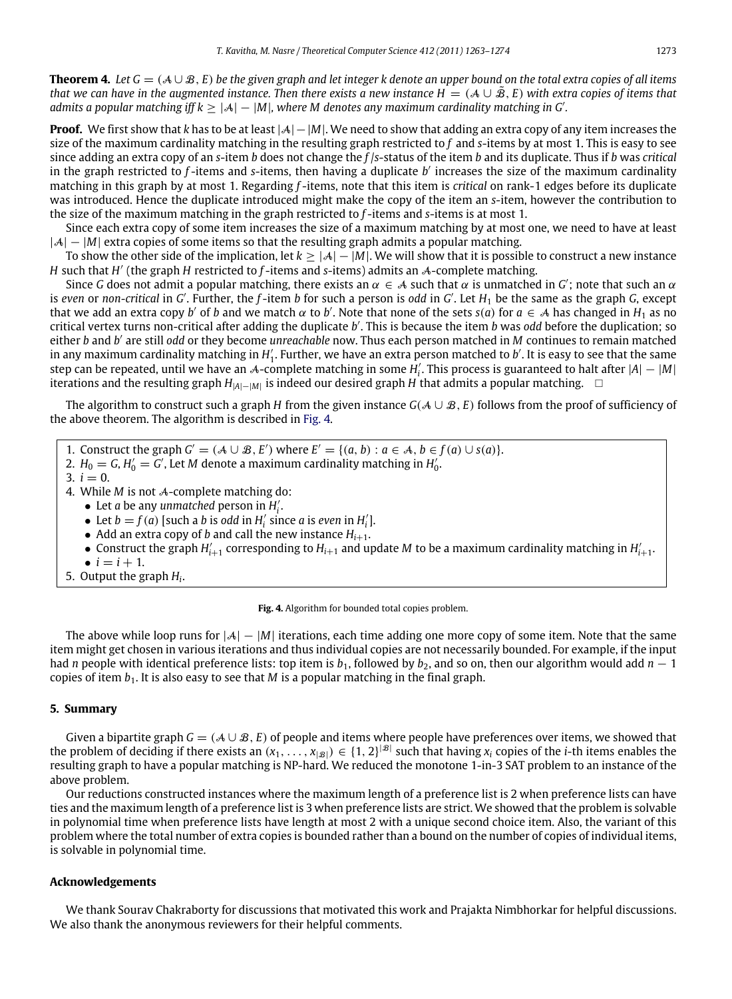**Theorem 4.** Let  $G = (A \cup B, E)$  be the given graph and let integer k denote an upper bound on the total extra copies of all items *that we can have in the augmented instance. Then there exists a new instance H* = ( $A \cup \hat{B}$ , *E*) *with extra copies of items that admits a popular matching iff k*  $\geq |\mathcal{A}| - |M|$ , where M denotes any maximum cardinality matching in G'.

**Proof.** We first show that *k* has to be at least |A|−|*M*|. We need to show that adding an extra copy of any item increases the size of the maximum cardinality matching in the resulting graph restricted to *f* and *s*-items by at most 1. This is easy to see since adding an extra copy of an *s*-item *b* does not change the *f* /*s*-status of the item *b* and its duplicate. Thus if *b* was *critical* in the graph restricted to *f*-items and *s*-items, then having a duplicate *b'* increases the size of the maximum cardinality matching in this graph by at most 1. Regarding *f* -items, note that this item is *critical* on rank-1 edges before its duplicate was introduced. Hence the duplicate introduced might make the copy of the item an *s*-item, however the contribution to the size of the maximum matching in the graph restricted to *f* -items and *s*-items is at most 1.

Since each extra copy of some item increases the size of a maximum matching by at most one, we need to have at least |A| − |M| extra copies of some items so that the resulting graph admits a popular matching.

To show the other side of the implication, let *k* ≥ |A| − |*M*|. We will show that it is possible to construct a new instance *H* such that *H'* (the graph *H* restricted to *f*-items and *s*-items) admits an *A*-complete matching.

Since G does not admit a popular matching, there exists an  $\alpha \in A$  such that  $\alpha$  is unmatched in G'; note that such an  $\alpha$ is even or non-critical in *G'*. Further, the *f*-item *b* for such a person is odd in *G'*. Let *H*<sub>1</sub> be the same as the graph *G*, except that we add an extra copy *b'* of *b* and we match  $\alpha$  to *b'*. Note that none of the sets  $s(a)$  for  $a \in A$  has changed in  $H_1$  as no critical vertex turns non-critical after adding the duplicate *b* ′ . This is because the item *b* was *odd* before the duplication; so either *b* and *b'* are still odd or they become *unreachable* now. Thus each person matched in *M* continues to remain matched in any maximum cardinality matching in  $H'_1$ . Further, we have an extra person matched to  $b'$ . It is easy to see that the same step can be repeated, until we have an A-complete matching in some  $H'_i$ . This process is guaranteed to halt after  $|A| - |M|$ iterations and the resulting graph  $H_{|A|-|M|}$  is indeed our desired graph *H* that admits a popular matching. □

The algorithm to construct such a graph *H* from the given instance  $G(A \cup B, E)$  follows from the proof of sufficiency of the above theorem. The algorithm is described in [Fig. 4.](#page-10-0)

<span id="page-10-0"></span>1. Construct the graph  $G' = (A \cup B, E')$  where  $E' = \{(a, b) : a \in A, b \in f(a) \cup s(a)\}.$ 

- 2.  $H_0 = G$ ,  $H'_0 = G'$ , Let M denote a maximum cardinality matching in  $H'_0$ .
- 3.  $i = 0$ .
- 4. While *M* is not A-complete matching do:
	- Let *a* be any *unmatched* person in  $H'_i$ .
	- Let  $b = f(a)$  [such a *b* is *odd* in  $H'_i$  since *a* is *even* in  $H'_i$ ].
	- Add an extra copy of *b* and call the new instance  $H_{i+1}$ .
	- Construct the graph  $H'_{i+1}$  corresponding to  $H_{i+1}$  and update *M* to be a maximum cardinality matching in  $H'_{i+1}$ .
	- $\bullet i = i + 1.$
- 5. Output the graph *H<sup>i</sup>* .

**Fig. 4.** Algorithm for bounded total copies problem.

The above while loop runs for |A| − |*M*| iterations, each time adding one more copy of some item. Note that the same item might get chosen in various iterations and thus individual copies are not necessarily bounded. For example, if the input had *n* people with identical preference lists: top item is  $b_1$ , followed by  $b_2$ , and so on, then our algorithm would add  $n-1$ copies of item *b*1. It is also easy to see that *M* is a popular matching in the final graph.

### **5. Summary**

Given a bipartite graph  $G = (A \cup B, E)$  of people and items where people have preferences over items, we showed that the problem of deciding if there exists an  $(x_1, \ldots, x_{|\mathcal{B}|}) \in \{1, 2\}^{|\mathcal{B}|}$  such that having  $x_i$  copies of the *i*-th items enables the resulting graph to have a popular matching is NP-hard. We reduced the monotone 1-in-3 SAT problem to an instance of the above problem.

Our reductions constructed instances where the maximum length of a preference list is 2 when preference lists can have ties and the maximum length of a preference list is 3 when preference lists are strict. We showed that the problem is solvable in polynomial time when preference lists have length at most 2 with a unique second choice item. Also, the variant of this problem where the total number of extra copies is bounded rather than a bound on the number of copies of individual items, is solvable in polynomial time.

#### **Acknowledgements**

We thank Sourav Chakraborty for discussions that motivated this work and Prajakta Nimbhorkar for helpful discussions. We also thank the anonymous reviewers for their helpful comments.